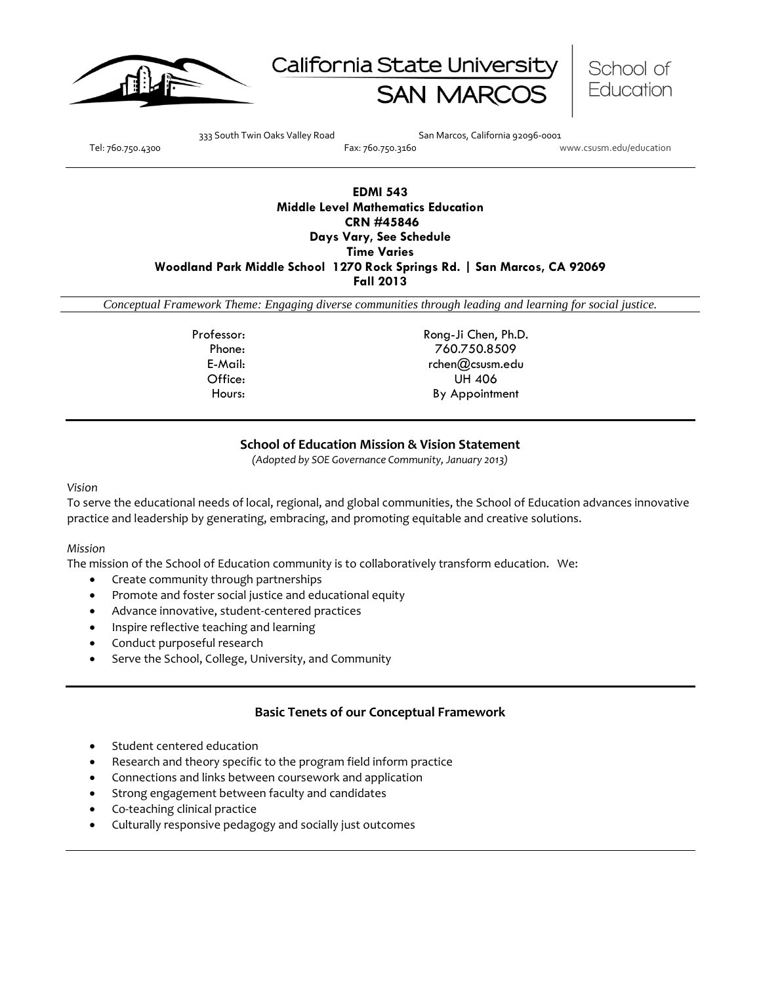





333 South Twin Oaks Valley Road San Marcos, California 92096-0001

Tel: 760.750.4300 Fax: 760.750.3160 www.csusm.edu/education

# **EDMI 543 Middle Level Mathematics Education CRN #45846 Days Vary, See Schedule Time Varies Woodland Park Middle School 1270 Rock Springs Rd. | San Marcos, CA 92069 Fall 2013**

*Conceptual Framework Theme: Engaging diverse communities through leading and learning for social justice.*

Professor: Rong-Ji Chen, Ph.D. Phone: 760.750.8509 E-Mail: rchen@csusm.edu Office: UH 406 Hours: By Appointment

### **School of Education Mission & Vision Statement**

*(Adopted by SOE Governance Community, January 2013)*

#### *Vision*

To serve the educational needs of local, regional, and global communities, the School of Education advances innovative practice and leadership by generating, embracing, and promoting equitable and creative solutions.

#### *Mission*

The mission of the School of Education community is to collaboratively transform education. We:

- Create community through partnerships
- Promote and foster social justice and educational equity
- Advance innovative, student-centered practices
- Inspire reflective teaching and learning
- Conduct purposeful research
- Serve the School, College, University, and Community

#### **Basic Tenets of our Conceptual Framework**

- Student centered education
- Research and theory specific to the program field inform practice
- Connections and links between coursework and application
- Strong engagement between faculty and candidates
- Co-teaching clinical practice
- Culturally responsive pedagogy and socially just outcomes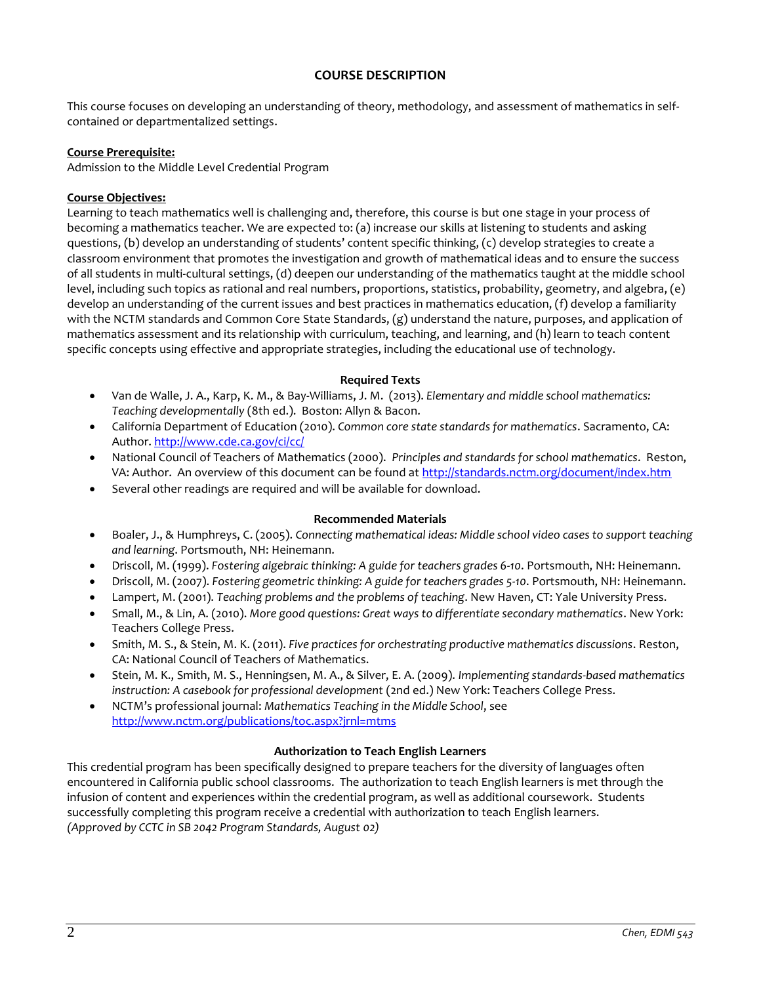### **COURSE DESCRIPTION**

This course focuses on developing an understanding of theory, methodology, and assessment of mathematics in selfcontained or departmentalized settings.

### **Course Prerequisite:**

Admission to the Middle Level Credential Program

### **Course Objectives:**

Learning to teach mathematics well is challenging and, therefore, this course is but one stage in your process of becoming a mathematics teacher. We are expected to: (a) increase our skills at listening to students and asking questions, (b) develop an understanding of students' content specific thinking, (c) develop strategies to create a classroom environment that promotes the investigation and growth of mathematical ideas and to ensure the success of all students in multi-cultural settings, (d) deepen our understanding of the mathematics taught at the middle school level, including such topics as rational and real numbers, proportions, statistics, probability, geometry, and algebra, (e) develop an understanding of the current issues and best practices in mathematics education, (f) develop a familiarity with the NCTM standards and Common Core State Standards, (g) understand the nature, purposes, and application of mathematics assessment and its relationship with curriculum, teaching, and learning, and (h) learn to teach content specific concepts using effective and appropriate strategies, including the educational use of technology.

### **Required Texts**

- Van de Walle, J. A., Karp, K. M., & Bay-Williams, J. M. (2013). *Elementary and middle school mathematics: Teaching developmentally* (8th ed.). Boston: Allyn & Bacon.
- California Department of Education (2010). *Common core state standards for mathematics*. Sacramento, CA: Author[. http://www.cde.ca.gov/ci/cc/](http://www.cde.ca.gov/ci/cc/)
- National Council of Teachers of Mathematics (2000). *Principles and standards for school mathematics*. Reston, VA: Author. An overview of this document can be found at <http://standards.nctm.org/document/index.htm>
- Several other readings are required and will be available for download.

#### **Recommended Materials**

- Boaler, J., & Humphreys, C. (2005). *Connecting mathematical ideas: Middle school video cases to support teaching and learning*. Portsmouth, NH: Heinemann.
- Driscoll, M. (1999). *Fostering algebraic thinking: A guide for teachers grades 6-10*. Portsmouth, NH: Heinemann.
- Driscoll, M. (2007). *Fostering geometric thinking: A guide for teachers grades 5-10*. Portsmouth, NH: Heinemann.
- Lampert, M. (2001). *Teaching problems and the problems of teaching*. New Haven, CT: Yale University Press.
- Small, M., & Lin, A. (2010). *More good questions: Great ways to differentiate secondary mathematics*. New York: Teachers College Press.
- Smith, M. S., & Stein, M. K. (2011). *Five practices for orchestrating productive mathematics discussions*. Reston, CA: National Council of Teachers of Mathematics.
- Stein, M. K., Smith, M. S., Henningsen, M. A., & Silver, E. A. (2009). *Implementing standards-based mathematics instruction: A casebook for professional development* (2nd ed.) New York: Teachers College Press.
- NCTM's professional journal: *Mathematics Teaching in the Middle School*, see <http://www.nctm.org/publications/toc.aspx?jrnl=mtms>

#### **Authorization to Teach English Learners**

This credential program has been specifically designed to prepare teachers for the diversity of languages often encountered in California public school classrooms. The authorization to teach English learners is met through the infusion of content and experiences within the credential program, as well as additional coursework. Students successfully completing this program receive a credential with authorization to teach English learners. *(Approved by CCTC in SB 2042 Program Standards, August 02)*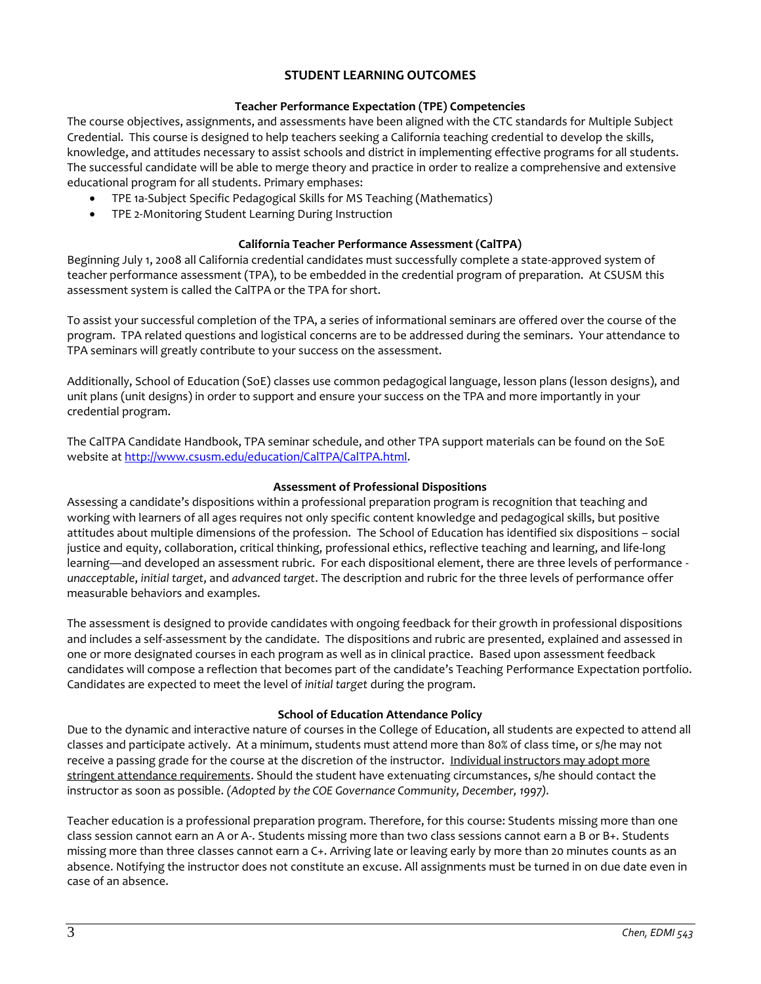## **STUDENT LEARNING OUTCOMES**

### **Teacher Performance Expectation (TPE) Competencies**

The course objectives, assignments, and assessments have been aligned with the CTC standards for Multiple Subject Credential. This course is designed to help teachers seeking a California teaching credential to develop the skills, knowledge, and attitudes necessary to assist schools and district in implementing effective programs for all students. The successful candidate will be able to merge theory and practice in order to realize a comprehensive and extensive educational program for all students. Primary emphases:

- TPE 1a-Subject Specific Pedagogical Skills for MS Teaching (Mathematics)
- TPE 2-Monitoring Student Learning During Instruction

### **California Teacher Performance Assessment (CalTPA)**

Beginning July 1, 2008 all California credential candidates must successfully complete a state-approved system of teacher performance assessment (TPA), to be embedded in the credential program of preparation. At CSUSM this assessment system is called the CalTPA or the TPA for short.

To assist your successful completion of the TPA, a series of informational seminars are offered over the course of the program. TPA related questions and logistical concerns are to be addressed during the seminars. Your attendance to TPA seminars will greatly contribute to your success on the assessment.

Additionally, School of Education (SoE) classes use common pedagogical language, lesson plans (lesson designs), and unit plans (unit designs) in order to support and ensure your success on the TPA and more importantly in your credential program.

The CalTPA Candidate Handbook, TPA seminar schedule, and other TPA support materials can be found on the SoE website a[t http://www.csusm.edu/education/CalTPA/CalTPA.html.](http://www.csusm.edu/education/CalTPA/CalTPA.html)

### **Assessment of Professional Dispositions**

Assessing a candidate's dispositions within a professional preparation program is recognition that teaching and working with learners of all ages requires not only specific content knowledge and pedagogical skills, but positive attitudes about multiple dimensions of the profession. The School of Education has identified six dispositions – social justice and equity, collaboration, critical thinking, professional ethics, reflective teaching and learning, and life-long learning—and developed an assessment rubric. For each dispositional element, there are three levels of performance *unacceptable*, *initial target*, and *advanced target*. The description and rubric for the three levels of performance offer measurable behaviors and examples.

The assessment is designed to provide candidates with ongoing feedback for their growth in professional dispositions and includes a self-assessment by the candidate. The dispositions and rubric are presented, explained and assessed in one or more designated courses in each program as well as in clinical practice. Based upon assessment feedback candidates will compose a reflection that becomes part of the candidate's Teaching Performance Expectation portfolio. Candidates are expected to meet the level of *initial target* during the program.

### **School of Education Attendance Policy**

Due to the dynamic and interactive nature of courses in the College of Education, all students are expected to attend all classes and participate actively. At a minimum, students must attend more than 80% of class time, or s/he may not receive a passing grade for the course at the discretion of the instructor. Individual instructors may adopt more stringent attendance requirements. Should the student have extenuating circumstances, s/he should contact the instructor as soon as possible. *(Adopted by the COE Governance Community, December, 1997).*

Teacher education is a professional preparation program. Therefore, for this course: Students missing more than one class session cannot earn an A or A-. Students missing more than two class sessions cannot earn a B or B+. Students missing more than three classes cannot earn a C+. Arriving late or leaving early by more than 20 minutes counts as an absence. Notifying the instructor does not constitute an excuse. All assignments must be turned in on due date even in case of an absence.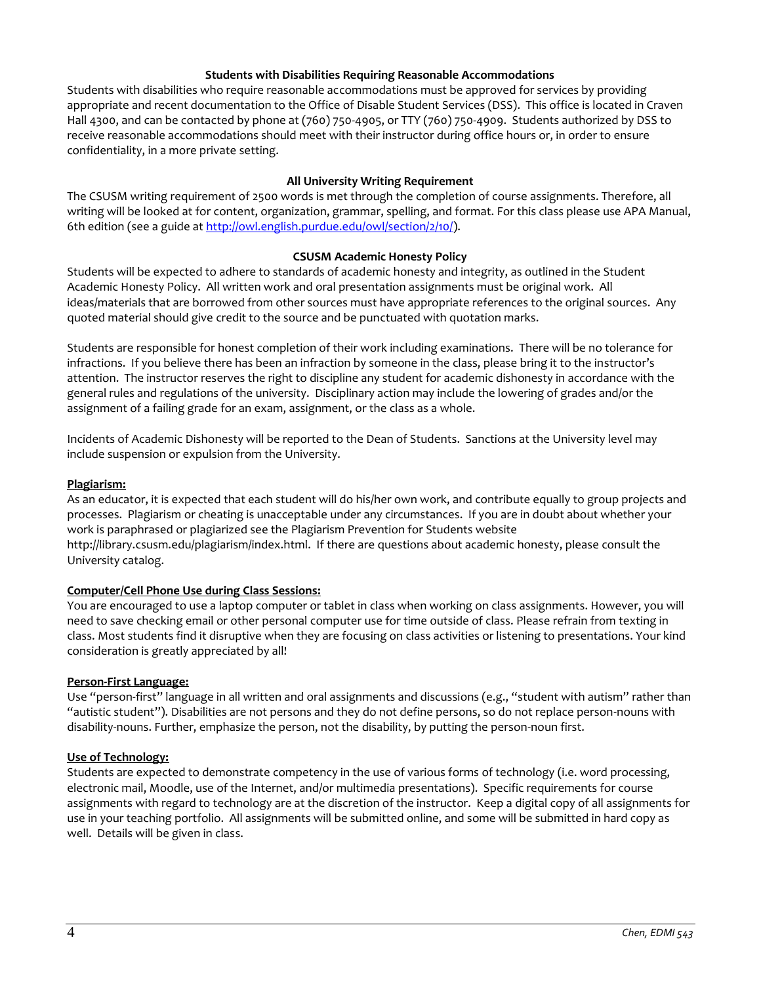### **Students with Disabilities Requiring Reasonable Accommodations**

Students with disabilities who require reasonable accommodations must be approved for services by providing appropriate and recent documentation to the Office of Disable Student Services (DSS). This office is located in Craven Hall 4300, and can be contacted by phone at (760) 750-4905, or TTY (760) 750-4909. Students authorized by DSS to receive reasonable accommodations should meet with their instructor during office hours or, in order to ensure confidentiality, in a more private setting.

### **All University Writing Requirement**

The CSUSM writing requirement of 2500 words is met through the completion of course assignments. Therefore, all writing will be looked at for content, organization, grammar, spelling, and format. For this class please use APA Manual, 6th edition (see a guide at [http://owl.english.purdue.edu/owl/section/2/10/\)](http://owl.english.purdue.edu/owl/section/2/10/).

### **CSUSM Academic Honesty Policy**

Students will be expected to adhere to standards of academic honesty and integrity, as outlined in the Student Academic Honesty Policy. All written work and oral presentation assignments must be original work. All ideas/materials that are borrowed from other sources must have appropriate references to the original sources. Any quoted material should give credit to the source and be punctuated with quotation marks.

Students are responsible for honest completion of their work including examinations. There will be no tolerance for infractions. If you believe there has been an infraction by someone in the class, please bring it to the instructor's attention. The instructor reserves the right to discipline any student for academic dishonesty in accordance with the general rules and regulations of the university. Disciplinary action may include the lowering of grades and/or the assignment of a failing grade for an exam, assignment, or the class as a whole.

Incidents of Academic Dishonesty will be reported to the Dean of Students. Sanctions at the University level may include suspension or expulsion from the University.

### **Plagiarism:**

As an educator, it is expected that each student will do his/her own work, and contribute equally to group projects and processes. Plagiarism or cheating is unacceptable under any circumstances. If you are in doubt about whether your work is paraphrased or plagiarized see the Plagiarism Prevention for Students website http://library.csusm.edu/plagiarism/index.html. If there are questions about academic honesty, please consult the University catalog.

#### **Computer/Cell Phone Use during Class Sessions:**

You are encouraged to use a laptop computer or tablet in class when working on class assignments. However, you will need to save checking email or other personal computer use for time outside of class. Please refrain from texting in class. Most students find it disruptive when they are focusing on class activities or listening to presentations. Your kind consideration is greatly appreciated by all!

#### **Person-First Language:**

Use "person-first" language in all written and oral assignments and discussions (e.g., "student with autism" rather than "autistic student"). Disabilities are not persons and they do not define persons, so do not replace person-nouns with disability-nouns. Further, emphasize the person, not the disability, by putting the person-noun first.

#### **Use of Technology:**

Students are expected to demonstrate competency in the use of various forms of technology (i.e. word processing, electronic mail, Moodle, use of the Internet, and/or multimedia presentations). Specific requirements for course assignments with regard to technology are at the discretion of the instructor. Keep a digital copy of all assignments for use in your teaching portfolio. All assignments will be submitted online, and some will be submitted in hard copy as well. Details will be given in class.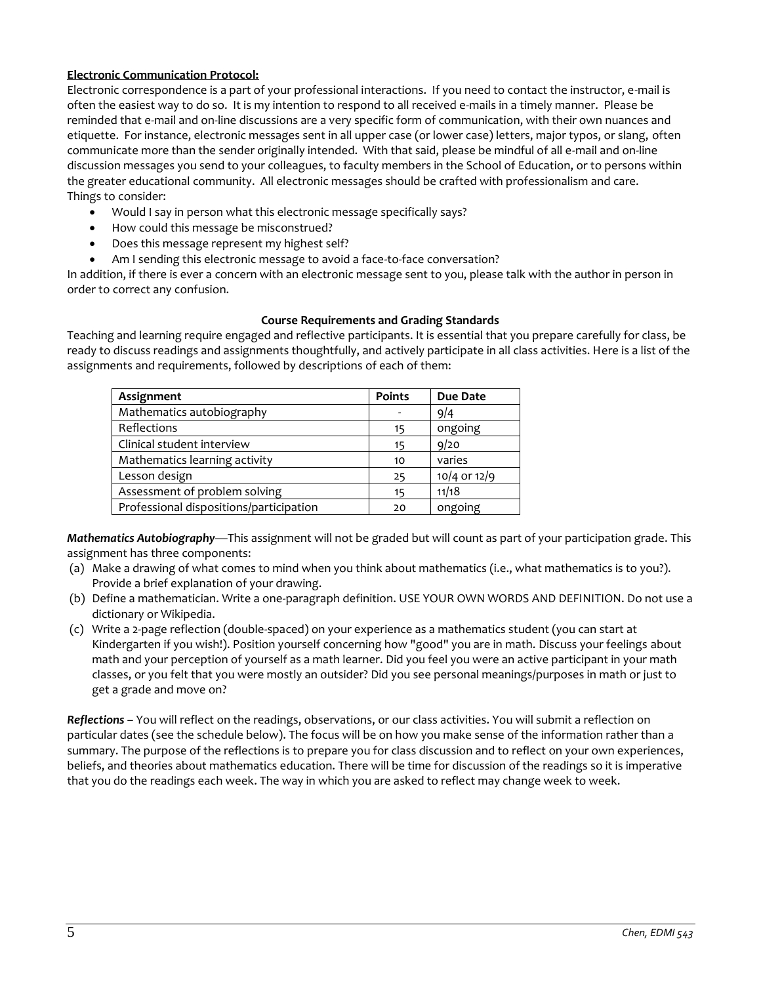### **Electronic Communication Protocol:**

Electronic correspondence is a part of your professional interactions. If you need to contact the instructor, e-mail is often the easiest way to do so. It is my intention to respond to all received e-mails in a timely manner. Please be reminded that e-mail and on-line discussions are a very specific form of communication, with their own nuances and etiquette. For instance, electronic messages sent in all upper case (or lower case) letters, major typos, or slang, often communicate more than the sender originally intended. With that said, please be mindful of all e-mail and on-line discussion messages you send to your colleagues, to faculty members in the School of Education, or to persons within the greater educational community. All electronic messages should be crafted with professionalism and care. Things to consider:

- Would I say in person what this electronic message specifically says?
- How could this message be misconstrued?
- Does this message represent my highest self?
- Am I sending this electronic message to avoid a face-to-face conversation?

In addition, if there is ever a concern with an electronic message sent to you, please talk with the author in person in order to correct any confusion.

### **Course Requirements and Grading Standards**

Teaching and learning require engaged and reflective participants. It is essential that you prepare carefully for class, be ready to discuss readings and assignments thoughtfully, and actively participate in all class activities. Here is a list of the assignments and requirements, followed by descriptions of each of them:

| Assignment                              | <b>Points</b> | Due Date     |
|-----------------------------------------|---------------|--------------|
| Mathematics autobiography               |               | 9/4          |
| Reflections                             | 15            | ongoing      |
| Clinical student interview              | 15            | 9/20         |
| Mathematics learning activity           | 10            | varies       |
| Lesson design                           | 25            | 10/4 or 12/9 |
| Assessment of problem solving           | 15            | 11/18        |
| Professional dispositions/participation | 20            | ongoing      |

*Mathematics Autobiography*—This assignment will not be graded but will count as part of your participation grade. This assignment has three components:

- (a) Make a drawing of what comes to mind when you think about mathematics (i.e., what mathematics is to you?). Provide a brief explanation of your drawing.
- (b) Define a mathematician. Write a one-paragraph definition. USE YOUR OWN WORDS AND DEFINITION. Do not use a dictionary or Wikipedia.
- (c) Write a 2-page reflection (double-spaced) on your experience as a mathematics student (you can start at Kindergarten if you wish!). Position yourself concerning how "good" you are in math. Discuss your feelings about math and your perception of yourself as a math learner. Did you feel you were an active participant in your math classes, or you felt that you were mostly an outsider? Did you see personal meanings/purposes in math or just to get a grade and move on?

*Reflections* – You will reflect on the readings, observations, or our class activities. You will submit a reflection on particular dates (see the schedule below). The focus will be on how you make sense of the information rather than a summary. The purpose of the reflections is to prepare you for class discussion and to reflect on your own experiences, beliefs, and theories about mathematics education. There will be time for discussion of the readings so it is imperative that you do the readings each week. The way in which you are asked to reflect may change week to week.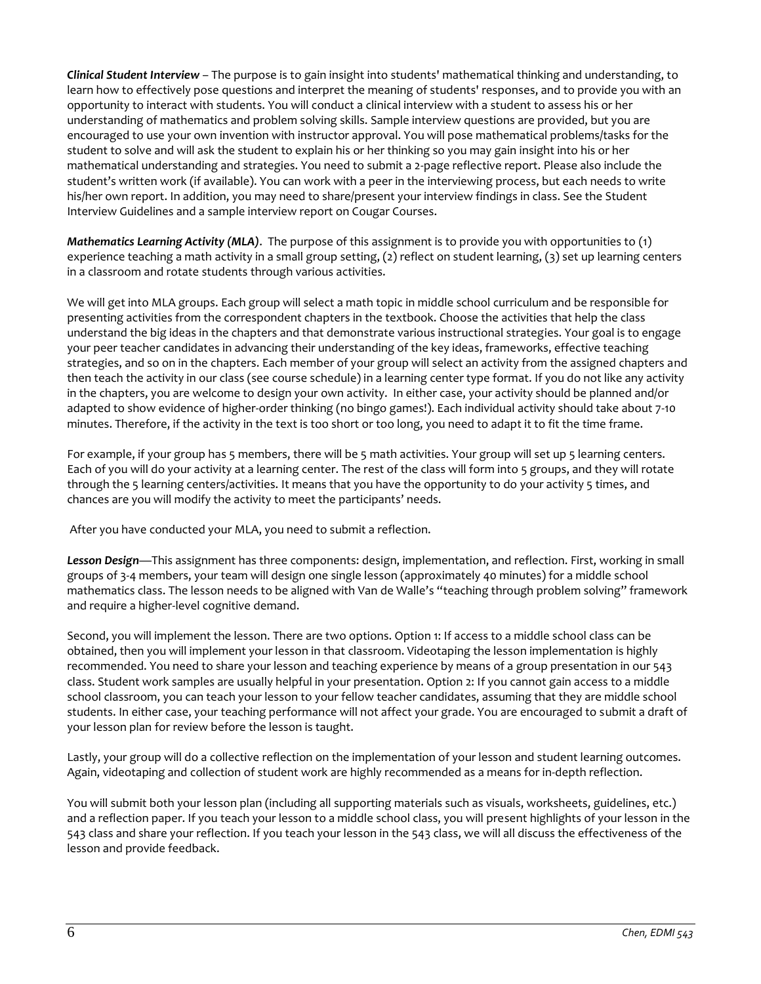*Clinical Student Interview* – The purpose is to gain insight into students' mathematical thinking and understanding, to learn how to effectively pose questions and interpret the meaning of students' responses, and to provide you with an opportunity to interact with students. You will conduct a clinical interview with a student to assess his or her understanding of mathematics and problem solving skills. Sample interview questions are provided, but you are encouraged to use your own invention with instructor approval. You will pose mathematical problems/tasks for the student to solve and will ask the student to explain his or her thinking so you may gain insight into his or her mathematical understanding and strategies. You need to submit a 2-page reflective report. Please also include the student's written work (if available). You can work with a peer in the interviewing process, but each needs to write his/her own report. In addition, you may need to share/present your interview findings in class. See the Student Interview Guidelines and a sample interview report on Cougar Courses.

*Mathematics Learning Activity (MLA)*. The purpose of this assignment is to provide you with opportunities to (1) experience teaching a math activity in a small group setting, (2) reflect on student learning, (3) set up learning centers in a classroom and rotate students through various activities.

We will get into MLA groups. Each group will select a math topic in middle school curriculum and be responsible for presenting activities from the correspondent chapters in the textbook. Choose the activities that help the class understand the big ideas in the chapters and that demonstrate various instructional strategies. Your goal is to engage your peer teacher candidates in advancing their understanding of the key ideas, frameworks, effective teaching strategies, and so on in the chapters. Each member of your group will select an activity from the assigned chapters and then teach the activity in our class (see course schedule) in a learning center type format. If you do not like any activity in the chapters, you are welcome to design your own activity. In either case, your activity should be planned and/or adapted to show evidence of higher-order thinking (no bingo games!). Each individual activity should take about 7-10 minutes. Therefore, if the activity in the text is too short or too long, you need to adapt it to fit the time frame.

For example, if your group has 5 members, there will be 5 math activities. Your group will set up 5 learning centers. Each of you will do your activity at a learning center. The rest of the class will form into 5 groups, and they will rotate through the 5 learning centers/activities. It means that you have the opportunity to do your activity 5 times, and chances are you will modify the activity to meet the participants' needs.

After you have conducted your MLA, you need to submit a reflection.

*Lesson Design*—This assignment has three components: design, implementation, and reflection. First, working in small groups of 3-4 members, your team will design one single lesson (approximately 40 minutes) for a middle school mathematics class. The lesson needs to be aligned with Van de Walle's "teaching through problem solving" framework and require a higher-level cognitive demand.

Second, you will implement the lesson. There are two options. Option 1: If access to a middle school class can be obtained, then you will implement your lesson in that classroom. Videotaping the lesson implementation is highly recommended. You need to share your lesson and teaching experience by means of a group presentation in our 543 class. Student work samples are usually helpful in your presentation. Option 2: If you cannot gain access to a middle school classroom, you can teach your lesson to your fellow teacher candidates, assuming that they are middle school students. In either case, your teaching performance will not affect your grade. You are encouraged to submit a draft of your lesson plan for review before the lesson is taught.

Lastly, your group will do a collective reflection on the implementation of your lesson and student learning outcomes. Again, videotaping and collection of student work are highly recommended as a means for in-depth reflection.

You will submit both your lesson plan (including all supporting materials such as visuals, worksheets, guidelines, etc.) and a reflection paper. If you teach your lesson to a middle school class, you will present highlights of your lesson in the 543 class and share your reflection. If you teach your lesson in the 543 class, we will all discuss the effectiveness of the lesson and provide feedback.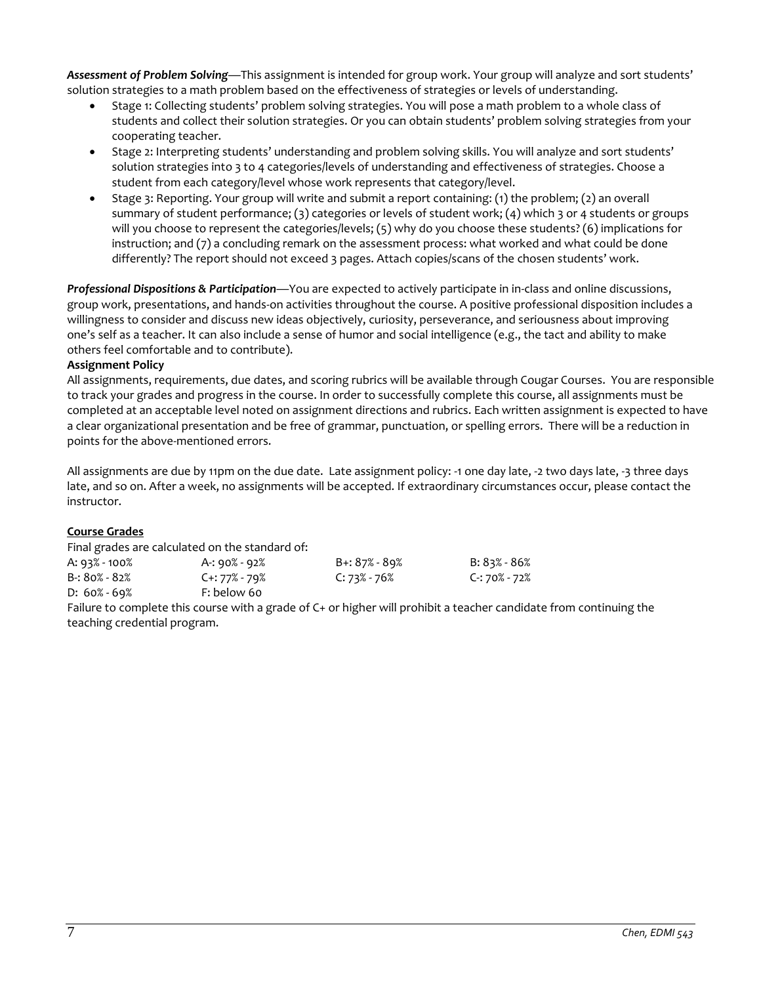*Assessment of Problem Solving*—This assignment is intended for group work. Your group will analyze and sort students' solution strategies to a math problem based on the effectiveness of strategies or levels of understanding.

- Stage 1: Collecting students' problem solving strategies. You will pose a math problem to a whole class of students and collect their solution strategies. Or you can obtain students' problem solving strategies from your cooperating teacher.
- Stage 2: Interpreting students' understanding and problem solving skills. You will analyze and sort students' solution strategies into 3 to 4 categories/levels of understanding and effectiveness of strategies. Choose a student from each category/level whose work represents that category/level.
- Stage 3: Reporting. Your group will write and submit a report containing: (1) the problem; (2) an overall summary of student performance; (3) categories or levels of student work; (4) which 3 or 4 students or groups will you choose to represent the categories/levels; (5) why do you choose these students? (6) implications for instruction; and (7) a concluding remark on the assessment process: what worked and what could be done differently? The report should not exceed 3 pages. Attach copies/scans of the chosen students' work.

*Professional Dispositions & Participation*—You are expected to actively participate in in-class and online discussions, group work, presentations, and hands-on activities throughout the course. A positive professional disposition includes a willingness to consider and discuss new ideas objectively, curiosity, perseverance, and seriousness about improving one's self as a teacher. It can also include a sense of humor and social intelligence (e.g., the tact and ability to make others feel comfortable and to contribute).

### **Assignment Policy**

All assignments, requirements, due dates, and scoring rubrics will be available through Cougar Courses. You are responsible to track your grades and progress in the course. In order to successfully complete this course, all assignments must be completed at an acceptable level noted on assignment directions and rubrics. Each written assignment is expected to have a clear organizational presentation and be free of grammar, punctuation, or spelling errors. There will be a reduction in points for the above-mentioned errors.

All assignments are due by 11pm on the due date. Late assignment policy: -1 one day late, -2 two days late, -3 three days late, and so on. After a week, no assignments will be accepted. If extraordinary circumstances occur, please contact the instructor.

### **Course Grades**

Final grades are calculated on the standard of:

| A: 93% - 100%    | A-: 90% - 92%   |
|------------------|-----------------|
| $B: 80\% - 82\%$ | $C + 77% - 79%$ |
| $D: 60\% - 69\%$ | F: below 60     |

A: 93% - 100% A-: 90% - 92% B+: 87% - 89% B: 83% - 86% B-: 80% - 82% C+: 77% - 79% C: 73% - 76% C-: 70% - 72%

Failure to complete this course with a grade of C+ or higher will prohibit a teacher candidate from continuing the teaching credential program.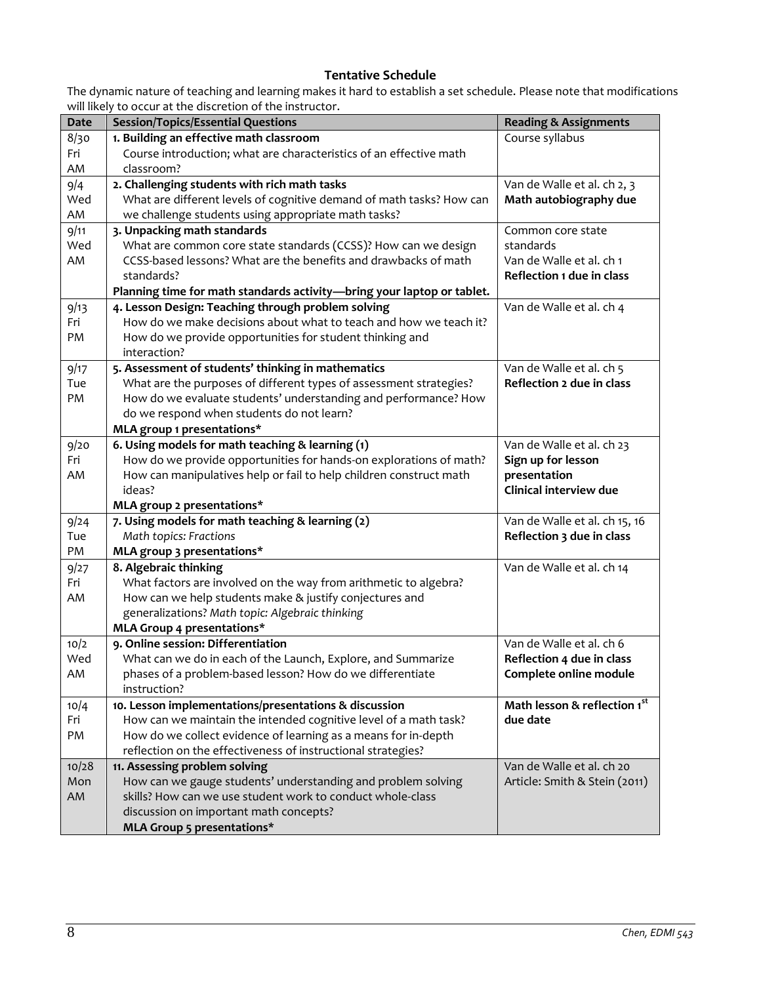# **Tentative Schedule**

The dynamic nature of teaching and learning makes it hard to establish a set schedule. Please note that modifications will likely to occur at the discretion of the instructor.

| <b>Date</b> | <b>Session/Topics/Essential Questions</b>                                                                  | <b>Reading &amp; Assignments</b> |
|-------------|------------------------------------------------------------------------------------------------------------|----------------------------------|
| 8/30        | 1. Building an effective math classroom                                                                    | Course syllabus                  |
| Fri         | Course introduction; what are characteristics of an effective math                                         |                                  |
| AM          | classroom?                                                                                                 |                                  |
| 9/4         | 2. Challenging students with rich math tasks                                                               | Van de Walle et al. ch 2, 3      |
| Wed         | What are different levels of cognitive demand of math tasks? How can                                       | Math autobiography due           |
| AM          | we challenge students using appropriate math tasks?                                                        |                                  |
| 9/11        | 3. Unpacking math standards                                                                                | Common core state                |
| Wed         | What are common core state standards (CCSS)? How can we design                                             | standards                        |
| AM          | CCSS-based lessons? What are the benefits and drawbacks of math                                            | Van de Walle et al. ch 1         |
|             | standards?                                                                                                 | Reflection 1 due in class        |
|             | Planning time for math standards activity-bring your laptop or tablet.                                     |                                  |
| 9/13        | 4. Lesson Design: Teaching through problem solving                                                         | Van de Walle et al. ch 4         |
| Fri         | How do we make decisions about what to teach and how we teach it?                                          |                                  |
| PM          | How do we provide opportunities for student thinking and                                                   |                                  |
|             | interaction?                                                                                               |                                  |
| 9/17        | 5. Assessment of students' thinking in mathematics                                                         | Van de Walle et al. ch 5         |
| Tue         | What are the purposes of different types of assessment strategies?                                         | Reflection 2 due in class        |
| PM          | How do we evaluate students' understanding and performance? How                                            |                                  |
|             | do we respond when students do not learn?                                                                  |                                  |
|             | MLA group 1 presentations*                                                                                 |                                  |
| 9/20        | 6. Using models for math teaching & learning (1)                                                           | Van de Walle et al. ch 23        |
| Fri         | How do we provide opportunities for hands-on explorations of math?                                         | Sign up for lesson               |
| AM          | How can manipulatives help or fail to help children construct math                                         | presentation                     |
|             | ideas?                                                                                                     | Clinical interview due           |
|             | MLA group 2 presentations*                                                                                 |                                  |
| 9/24        | 7. Using models for math teaching & learning (2)                                                           | Van de Walle et al. ch 15, 16    |
| Tue         | Math topics: Fractions                                                                                     | Reflection 3 due in class        |
| PM          | MLA group 3 presentations*                                                                                 |                                  |
| 9/27        | 8. Algebraic thinking                                                                                      | Van de Walle et al. ch 14        |
| Fri         | What factors are involved on the way from arithmetic to algebra?                                           |                                  |
| AM          | How can we help students make & justify conjectures and<br>generalizations? Math topic: Algebraic thinking |                                  |
|             | MLA Group 4 presentations*                                                                                 |                                  |
| 10/2        | 9. Online session: Differentiation                                                                         | Van de Walle et al. ch 6         |
| Wed         | What can we do in each of the Launch, Explore, and Summarize                                               | Reflection 4 due in class        |
| AM          | phases of a problem-based lesson? How do we differentiate                                                  | Complete online module           |
|             | instruction?                                                                                               |                                  |
| 10/4        | 10. Lesson implementations/presentations & discussion                                                      | Math lesson & reflection 1st     |
| Fri         | How can we maintain the intended cognitive level of a math task?                                           | due date                         |
| PM          | How do we collect evidence of learning as a means for in-depth                                             |                                  |
|             | reflection on the effectiveness of instructional strategies?                                               |                                  |
| 10/28       | 11. Assessing problem solving                                                                              | Van de Walle et al. ch 20        |
| Mon         | How can we gauge students' understanding and problem solving                                               | Article: Smith & Stein (2011)    |
| AM          | skills? How can we use student work to conduct whole-class                                                 |                                  |
|             | discussion on important math concepts?                                                                     |                                  |
|             | MLA Group 5 presentations*                                                                                 |                                  |